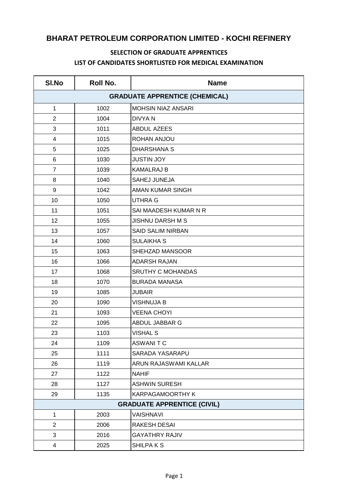## **BHARAT PETROLEUM CORPORATION LIMITED - KOCHI REFINERY**

## **SELECTION OF GRADUATE APPRENTICES LIST OF CANDIDATES SHORTLISTED FOR MEDICAL EXAMINATION**

| SI.No                                 | Roll No. | <b>Name</b>               |
|---------------------------------------|----------|---------------------------|
| <b>GRADUATE APPRENTICE (CHEMICAL)</b> |          |                           |
| $\mathbf{1}$                          | 1002     | <b>MOHSIN NIAZ ANSARI</b> |
| $\overline{2}$                        | 1004     | <b>DIVYAN</b>             |
| 3                                     | 1011     | <b>ABDUL AZEES</b>        |
| 4                                     | 1015     | ROHAN ANJOU               |
| 5                                     | 1025     | <b>DHARSHANA S</b>        |
| 6                                     | 1030     | <b>JUSTIN JOY</b>         |
| $\overline{7}$                        | 1039     | <b>KAMALRAJ B</b>         |
| 8                                     | 1040     | <b>SAHEJ JUNEJA</b>       |
| 9                                     | 1042     | <b>AMAN KUMAR SINGH</b>   |
| 10                                    | 1050     | <b>UTHRA G</b>            |
| 11                                    | 1051     | SAI MAADESH KUMAR N R     |
| 12                                    | 1055     | <b>JISHNU DARSH M S</b>   |
| 13                                    | 1057     | <b>SAID SALIM NIRBAN</b>  |
| 14                                    | 1060     | <b>SULAIKHA S</b>         |
| 15                                    | 1063     | SHEHZAD MANSOOR           |
| 16                                    | 1066     | <b>ADARSH RAJAN</b>       |
| 17                                    | 1068     | <b>SRUTHY C MOHANDAS</b>  |
| 18                                    | 1070     | <b>BURADA MANASA</b>      |
| 19                                    | 1085     | <b>JUBAIR</b>             |
| 20                                    | 1090     | <b>VISHNUJA B</b>         |
| 21                                    | 1093     | <b>VEENA CHOYI</b>        |
| 22                                    | 1095     | ABDUL JABBAR G            |
| 23                                    | 1103     | <b>VISHAL S</b>           |
| 24                                    | 1109     | <b>ASWANITC</b>           |
| 25                                    | 1111     | SARADA YASARAPU           |
| 26                                    | 1119     | ARUN RAJASWAMI KALLAR     |
| 27                                    | 1122     | <b>NAHIF</b>              |
| 28                                    | 1127     | <b>ASHWIN SURESH</b>      |
| 29                                    | 1135     | KARPAGAMOORTHY K          |
| <b>GRADUATE APPRENTICE (CIVIL)</b>    |          |                           |
| $\mathbf{1}$                          | 2003     | <b>VAISHNAVI</b>          |
| $\overline{2}$                        | 2006     | <b>RAKESH DESAI</b>       |
| 3                                     | 2016     | <b>GAYATHRY RAJIV</b>     |
| 4                                     | 2025     | SHILPA K S                |